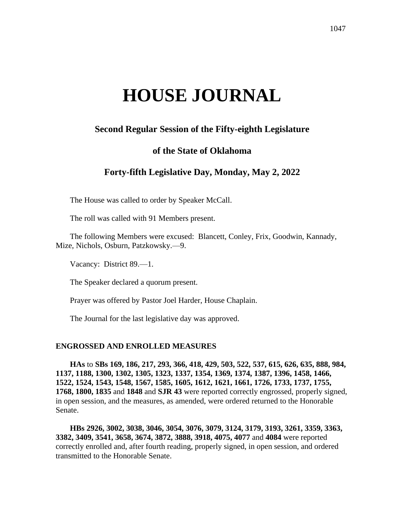# **HOUSE JOURNAL**

# **Second Regular Session of the Fifty-eighth Legislature**

# **of the State of Oklahoma**

# **Forty-fifth Legislative Day, Monday, May 2, 2022**

The House was called to order by Speaker McCall.

The roll was called with 91 Members present.

The following Members were excused: Blancett, Conley, Frix, Goodwin, Kannady, Mize, Nichols, Osburn, Patzkowsky.—9.

Vacancy: District 89.—1.

The Speaker declared a quorum present.

Prayer was offered by Pastor Joel Harder, House Chaplain.

The Journal for the last legislative day was approved.

#### **ENGROSSED AND ENROLLED MEASURES**

**HAs** to **SBs 169, 186, 217, 293, 366, 418, 429, 503, 522, 537, 615, 626, 635, 888, 984, 1137, 1188, 1300, 1302, 1305, 1323, 1337, 1354, 1369, 1374, 1387, 1396, 1458, 1466, 1522, 1524, 1543, 1548, 1567, 1585, 1605, 1612, 1621, 1661, 1726, 1733, 1737, 1755, 1768, 1800, 1835** and **1848** and **SJR 43** were reported correctly engrossed, properly signed, in open session, and the measures, as amended, were ordered returned to the Honorable Senate.

**HBs 2926, 3002, 3038, 3046, 3054, 3076, 3079, 3124, 3179, 3193, 3261, 3359, 3363, 3382, 3409, 3541, 3658, 3674, 3872, 3888, 3918, 4075, 4077** and **4084** were reported correctly enrolled and, after fourth reading, properly signed, in open session, and ordered transmitted to the Honorable Senate.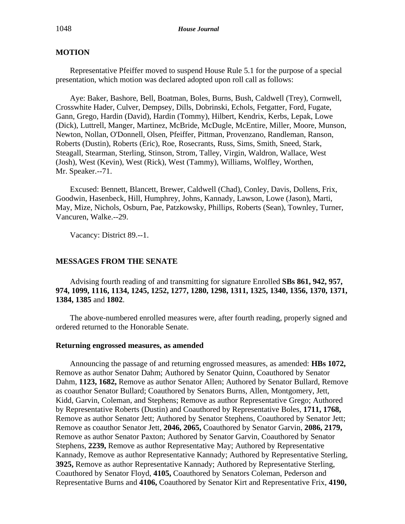## **MOTION**

Representative Pfeiffer moved to suspend House Rule 5.1 for the purpose of a special presentation, which motion was declared adopted upon roll call as follows:

Aye: Baker, Bashore, Bell, Boatman, Boles, Burns, Bush, Caldwell (Trey), Cornwell, Crosswhite Hader, Culver, Dempsey, Dills, Dobrinski, Echols, Fetgatter, Ford, Fugate, Gann, Grego, Hardin (David), Hardin (Tommy), Hilbert, Kendrix, Kerbs, Lepak, Lowe (Dick), Luttrell, Manger, Martinez, McBride, McDugle, McEntire, Miller, Moore, Munson, Newton, Nollan, O'Donnell, Olsen, Pfeiffer, Pittman, Provenzano, Randleman, Ranson, Roberts (Dustin), Roberts (Eric), Roe, Rosecrants, Russ, Sims, Smith, Sneed, Stark, Steagall, Stearman, Sterling, Stinson, Strom, Talley, Virgin, Waldron, Wallace, West (Josh), West (Kevin), West (Rick), West (Tammy), Williams, Wolfley, Worthen, Mr. Speaker.--71.

Excused: Bennett, Blancett, Brewer, Caldwell (Chad), Conley, Davis, Dollens, Frix, Goodwin, Hasenbeck, Hill, Humphrey, Johns, Kannady, Lawson, Lowe (Jason), Marti, May, Mize, Nichols, Osburn, Pae, Patzkowsky, Phillips, Roberts (Sean), Townley, Turner, Vancuren, Walke.--29.

Vacancy: District 89.--1.

## **MESSAGES FROM THE SENATE**

Advising fourth reading of and transmitting for signature Enrolled **SBs 861, 942, 957, 974, 1099, 1116, 1134, 1245, 1252, 1277, 1280, 1298, 1311, 1325, 1340, 1356, 1370, 1371, 1384, 1385** and **1802**.

The above-numbered enrolled measures were, after fourth reading, properly signed and ordered returned to the Honorable Senate.

### **Returning engrossed measures, as amended**

Announcing the passage of and returning engrossed measures, as amended: **HBs 1072,** Remove as author Senator Dahm; Authored by Senator Quinn, Coauthored by Senator Dahm, **1123, 1682,** Remove as author Senator Allen; Authored by Senator Bullard, Remove as coauthor Senator Bullard; Coauthored by Senators Burns, Allen, Montgomery, Jett, Kidd, Garvin, Coleman, and Stephens; Remove as author Representative Grego; Authored by Representative Roberts (Dustin) and Coauthored by Representative Boles, **1711, 1768,** Remove as author Senator Jett; Authored by Senator Stephens, Coauthored by Senator Jett; Remove as coauthor Senator Jett, **2046, 2065,** Coauthored by Senator Garvin, **2086, 2179,** Remove as author Senator Paxton; Authored by Senator Garvin, Coauthored by Senator Stephens, **2239,** Remove as author Representative May; Authored by Representative Kannady, Remove as author Representative Kannady; Authored by Representative Sterling, **3925,** Remove as author Representative Kannady; Authored by Representative Sterling, Coauthored by Senator Floyd, **4105,** Coauthored by Senators Coleman, Pederson and Representative Burns and **4106,** Coauthored by Senator Kirt and Representative Frix, **4190,**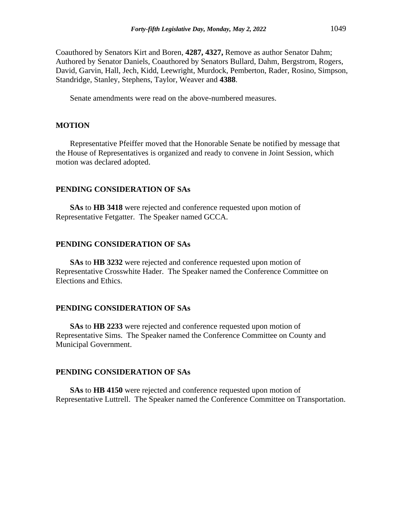Coauthored by Senators Kirt and Boren, **4287, 4327,** Remove as author Senator Dahm; Authored by Senator Daniels, Coauthored by Senators Bullard, Dahm, Bergstrom, Rogers, David, Garvin, Hall, Jech, Kidd, Leewright, Murdock, Pemberton, Rader, Rosino, Simpson, Standridge, Stanley, Stephens, Taylor, Weaver and **4388**.

Senate amendments were read on the above-numbered measures.

## **MOTION**

Representative Pfeiffer moved that the Honorable Senate be notified by message that the House of Representatives is organized and ready to convene in Joint Session, which motion was declared adopted.

## **PENDING CONSIDERATION OF SAs**

**SAs** to **HB 3418** were rejected and conference requested upon motion of Representative Fetgatter. The Speaker named GCCA.

#### **PENDING CONSIDERATION OF SAs**

**SAs** to **HB 3232** were rejected and conference requested upon motion of Representative Crosswhite Hader. The Speaker named the Conference Committee on Elections and Ethics.

#### **PENDING CONSIDERATION OF SAs**

**SAs** to **HB 2233** were rejected and conference requested upon motion of Representative Sims. The Speaker named the Conference Committee on County and Municipal Government.

### **PENDING CONSIDERATION OF SAs**

**SAs** to **HB 4150** were rejected and conference requested upon motion of Representative Luttrell. The Speaker named the Conference Committee on Transportation.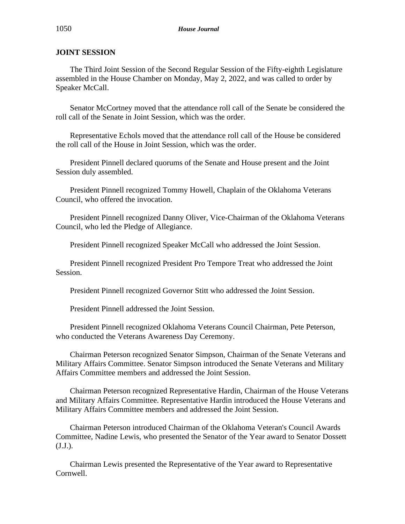# **JOINT SESSION**

The Third Joint Session of the Second Regular Session of the Fifty-eighth Legislature assembled in the House Chamber on Monday, May 2, 2022, and was called to order by Speaker McCall.

Senator McCortney moved that the attendance roll call of the Senate be considered the roll call of the Senate in Joint Session, which was the order.

Representative Echols moved that the attendance roll call of the House be considered the roll call of the House in Joint Session, which was the order.

President Pinnell declared quorums of the Senate and House present and the Joint Session duly assembled.

President Pinnell recognized Tommy Howell, Chaplain of the Oklahoma Veterans Council, who offered the invocation.

President Pinnell recognized Danny Oliver, Vice-Chairman of the Oklahoma Veterans Council, who led the Pledge of Allegiance.

President Pinnell recognized Speaker McCall who addressed the Joint Session.

President Pinnell recognized President Pro Tempore Treat who addressed the Joint Session.

President Pinnell recognized Governor Stitt who addressed the Joint Session.

President Pinnell addressed the Joint Session.

President Pinnell recognized Oklahoma Veterans Council Chairman, Pete Peterson, who conducted the Veterans Awareness Day Ceremony.

Chairman Peterson recognized Senator Simpson, Chairman of the Senate Veterans and Military Affairs Committee. Senator Simpson introduced the Senate Veterans and Military Affairs Committee members and addressed the Joint Session.

Chairman Peterson recognized Representative Hardin, Chairman of the House Veterans and Military Affairs Committee. Representative Hardin introduced the House Veterans and Military Affairs Committee members and addressed the Joint Session.

Chairman Peterson introduced Chairman of the Oklahoma Veteran's Council Awards Committee, Nadine Lewis, who presented the Senator of the Year award to Senator Dossett (J.J.).

Chairman Lewis presented the Representative of the Year award to Representative Cornwell.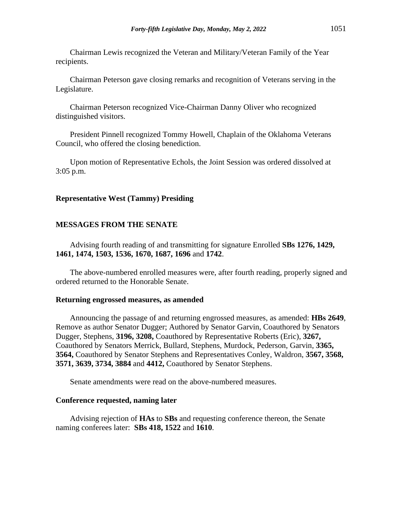Chairman Lewis recognized the Veteran and Military/Veteran Family of the Year recipients.

Chairman Peterson gave closing remarks and recognition of Veterans serving in the Legislature.

Chairman Peterson recognized Vice-Chairman Danny Oliver who recognized distinguished visitors.

President Pinnell recognized Tommy Howell, Chaplain of the Oklahoma Veterans Council, who offered the closing benediction.

Upon motion of Representative Echols, the Joint Session was ordered dissolved at 3:05 p.m.

#### **Representative West (Tammy) Presiding**

#### **MESSAGES FROM THE SENATE**

Advising fourth reading of and transmitting for signature Enrolled **SBs 1276, 1429, 1461, 1474, 1503, 1536, 1670, 1687, 1696** and **1742**.

The above-numbered enrolled measures were, after fourth reading, properly signed and ordered returned to the Honorable Senate.

#### **Returning engrossed measures, as amended**

Announcing the passage of and returning engrossed measures, as amended: **HBs 2649**, Remove as author Senator Dugger; Authored by Senator Garvin, Coauthored by Senators Dugger, Stephens, **3196, 3208,** Coauthored by Representative Roberts (Eric), **3267,** Coauthored by Senators Merrick, Bullard, Stephens, Murdock, Pederson, Garvin, **3365, 3564,** Coauthored by Senator Stephens and Representatives Conley, Waldron, **3567, 3568, 3571, 3639, 3734, 3884** and **4412,** Coauthored by Senator Stephens.

Senate amendments were read on the above-numbered measures.

#### **Conference requested, naming later**

Advising rejection of **HAs** to **SBs** and requesting conference thereon, the Senate naming conferees later: **SBs 418, 1522** and **1610**.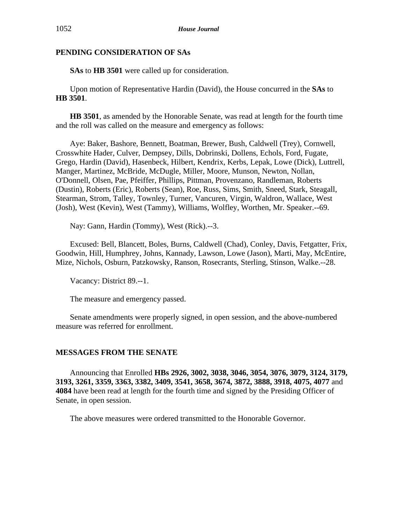## **PENDING CONSIDERATION OF SAs**

**SAs** to **HB 3501** were called up for consideration.

Upon motion of Representative Hardin (David), the House concurred in the **SAs** to **HB 3501**.

**HB 3501**, as amended by the Honorable Senate, was read at length for the fourth time and the roll was called on the measure and emergency as follows:

Aye: Baker, Bashore, Bennett, Boatman, Brewer, Bush, Caldwell (Trey), Cornwell, Crosswhite Hader, Culver, Dempsey, Dills, Dobrinski, Dollens, Echols, Ford, Fugate, Grego, Hardin (David), Hasenbeck, Hilbert, Kendrix, Kerbs, Lepak, Lowe (Dick), Luttrell, Manger, Martinez, McBride, McDugle, Miller, Moore, Munson, Newton, Nollan, O'Donnell, Olsen, Pae, Pfeiffer, Phillips, Pittman, Provenzano, Randleman, Roberts (Dustin), Roberts (Eric), Roberts (Sean), Roe, Russ, Sims, Smith, Sneed, Stark, Steagall, Stearman, Strom, Talley, Townley, Turner, Vancuren, Virgin, Waldron, Wallace, West (Josh), West (Kevin), West (Tammy), Williams, Wolfley, Worthen, Mr. Speaker.--69.

Nay: Gann, Hardin (Tommy), West (Rick).--3.

Excused: Bell, Blancett, Boles, Burns, Caldwell (Chad), Conley, Davis, Fetgatter, Frix, Goodwin, Hill, Humphrey, Johns, Kannady, Lawson, Lowe (Jason), Marti, May, McEntire, Mize, Nichols, Osburn, Patzkowsky, Ranson, Rosecrants, Sterling, Stinson, Walke.--28.

Vacancy: District 89.--1.

The measure and emergency passed.

Senate amendments were properly signed, in open session, and the above-numbered measure was referred for enrollment.

## **MESSAGES FROM THE SENATE**

Announcing that Enrolled **HBs 2926, 3002, 3038, 3046, 3054, 3076, 3079, 3124, 3179, 3193, 3261, 3359, 3363, 3382, 3409, 3541, 3658, 3674, 3872, 3888, 3918, 4075, 4077** and **4084** have been read at length for the fourth time and signed by the Presiding Officer of Senate, in open session.

The above measures were ordered transmitted to the Honorable Governor.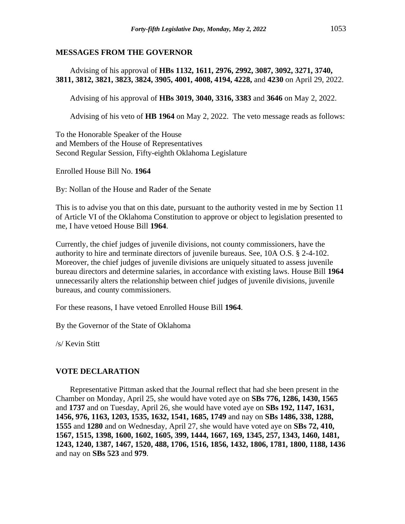### **MESSAGES FROM THE GOVERNOR**

Advising of his approval of **HBs 1132, 1611, 2976, 2992, 3087, 3092, 3271, 3740, 3811, 3812, 3821, 3823, 3824, 3905, 4001, 4008, 4194, 4228,** and **4230** on April 29, 2022.

Advising of his approval of **HBs 3019, 3040, 3316, 3383** and **3646** on May 2, 2022.

Advising of his veto of **HB 1964** on May 2, 2022. The veto message reads as follows:

To the Honorable Speaker of the House and Members of the House of Representatives Second Regular Session, Fifty-eighth Oklahoma Legislature

Enrolled House Bill No. **1964**

By: Nollan of the House and Rader of the Senate

This is to advise you that on this date, pursuant to the authority vested in me by Section 11 of Article VI of the Oklahoma Constitution to approve or object to legislation presented to me, I have vetoed House Bill **1964**.

Currently, the chief judges of juvenile divisions, not county commissioners, have the authority to hire and terminate directors of juvenile bureaus. See, 10A O.S. § 2-4-102. Moreover, the chief judges of juvenile divisions are uniquely situated to assess juvenile bureau directors and determine salaries, in accordance with existing laws. House Bill **1964** unnecessarily alters the relationship between chief judges of juvenile divisions, juvenile bureaus, and county commissioners.

For these reasons, I have vetoed Enrolled House Bill **1964**.

By the Governor of the State of Oklahoma

/s/ Kevin Stitt

### **VOTE DECLARATION**

Representative Pittman asked that the Journal reflect that had she been present in the Chamber on Monday, April 25, she would have voted aye on **SBs 776, 1286, 1430, 1565** and **1737** and on Tuesday, April 26, she would have voted aye on **SBs 192, 1147, 1631, 1456, 976, 1163, 1203, 1535, 1632, 1541, 1685, 1749** and nay on **SBs 1486, 338, 1288, 1555** and **1280** and on Wednesday, April 27, she would have voted aye on **SBs 72, 410, 1567, 1515, 1398, 1600, 1602, 1605, 399, 1444, 1667, 169, 1345, 257, 1343, 1460, 1481, 1243, 1240, 1387, 1467, 1520, 488, 1706, 1516, 1856, 1432, 1806, 1781, 1800, 1188, 1436**  and nay on **SBs 523** and **979**.